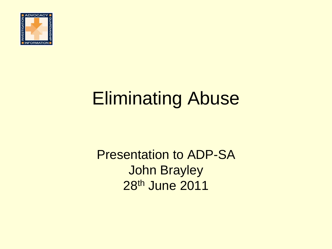

#### Eliminating Abuse

Presentation to ADP-SA John Brayley 28th June 2011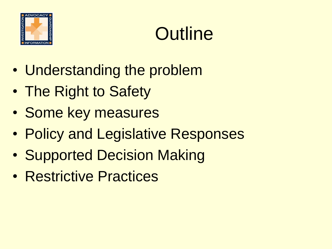

### **Outline**

- Understanding the problem
- The Right to Safety
- Some key measures
- Policy and Legislative Responses
- Supported Decision Making
- Restrictive Practices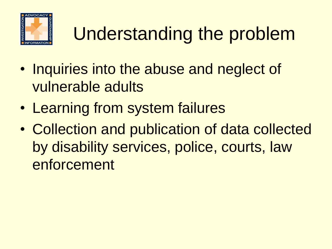

# Understanding the problem

- Inquiries into the abuse and neglect of vulnerable adults
- Learning from system failures
- Collection and publication of data collected by disability services, police, courts, law enforcement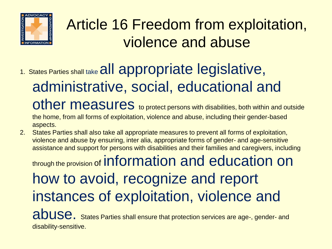

#### Article 16 Freedom from exploitation, violence and abuse

1. States Parties shall take all appropriate legislative, administrative, social, educational and other measures to protect persons with disabilities, both within and outside

the home, from all forms of exploitation, violence and abuse, including their gender-based aspects.

2. States Parties shall also take all appropriate measures to prevent all forms of exploitation, violence and abuse by ensuring, inter alia, appropriate forms of gender- and age-sensitive assistance and support for persons with disabilities and their families and caregivers, including

through the provision of information and education on how to avoid, recognize and report instances of exploitation, violence and abuse. States Parties shall ensure that protection services are age-, gender- and disability-sensitive.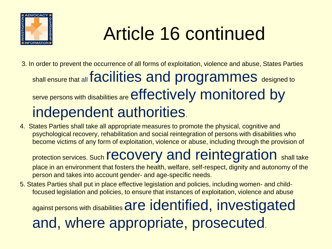

## Article 16 continued

- 3. In order to prevent the occurrence of all forms of exploitation, violence and abuse, States Parties shall ensure that all facilities and programmes designed to serve persons with disabilities are effectively monitored by independent authorities.
- 4. States Parties shall take all appropriate measures to promote the physical, cognitive and psychological recovery, rehabilitation and social reintegration of persons with disabilities who become victims of any form of exploitation, violence or abuse, including through the provision of

protection services. Such **recovery and reintegration** shall take place in an environment that fosters the health, welfare, self-respect, dignity and autonomy of the person and takes into account gender- and age-specific needs.

5. States Parties shall put in place effective legislation and policies, including women- and childfocused legislation and policies, to ensure that instances of exploitation, violence and abuse

against persons with disabilities are identified, investigated

and, where appropriate, prosecuted.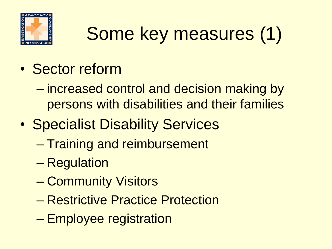

# Some key measures (1)

- Sector reform
	- increased control and decision making by persons with disabilities and their families
- Specialist Disability Services
	- Training and reimbursement
	- Regulation
	- Community Visitors
	- Restrictive Practice Protection
	- Employee registration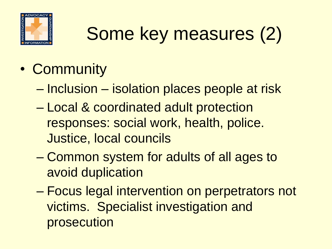

# Some key measures (2)

- Community
	- Inclusion isolation places people at risk
	- Local & coordinated adult protection responses: social work, health, police. Justice, local councils
	- Common system for adults of all ages to avoid duplication
	- Focus legal intervention on perpetrators not victims. Specialist investigation and prosecution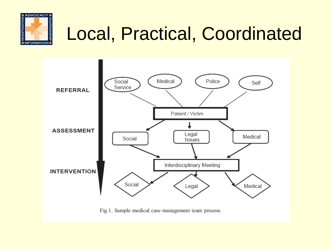

## Local, Practical, Coordinated



Fig.1. Sample medical case management team process.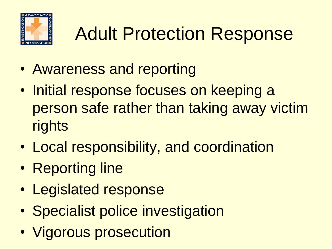

# Adult Protection Response

- Awareness and reporting
- Initial response focuses on keeping a person safe rather than taking away victim rights
- Local responsibility, and coordination
- Reporting line
- Legislated response
- Specialist police investigation
- Vigorous prosecution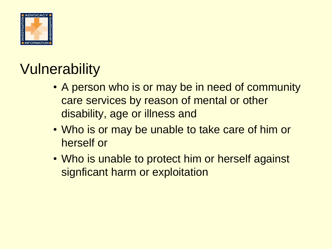

#### **Vulnerability**

- A person who is or may be in need of community care services by reason of mental or other disability, age or illness and
- Who is or may be unable to take care of him or herself or
- Who is unable to protect him or herself against signficant harm or exploitation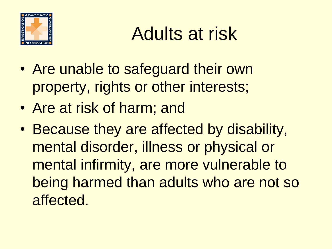

## Adults at risk

- Are unable to safeguard their own property, rights or other interests;
- Are at risk of harm; and
- Because they are affected by disability, mental disorder, illness or physical or mental infirmity, are more vulnerable to being harmed than adults who are not so affected.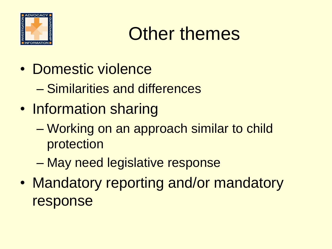

#### Other themes

- Domestic violence
	- Similarities and differences
- Information sharing
	- Working on an approach similar to child protection
	- May need legislative response
- Mandatory reporting and/or mandatory response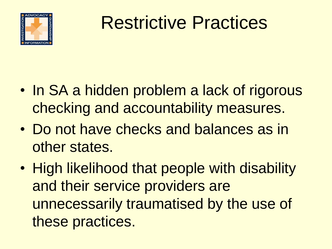

#### Restrictive Practices

- In SA a hidden problem a lack of rigorous checking and accountability measures.
- Do not have checks and balances as in other states.
- High likelihood that people with disability and their service providers are unnecessarily traumatised by the use of these practices.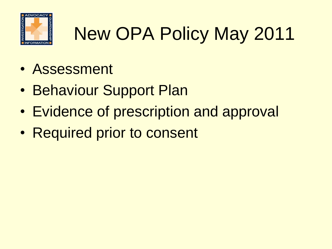

# New OPA Policy May 2011

- Assessment
- Behaviour Support Plan
- Evidence of prescription and approval
- Required prior to consent